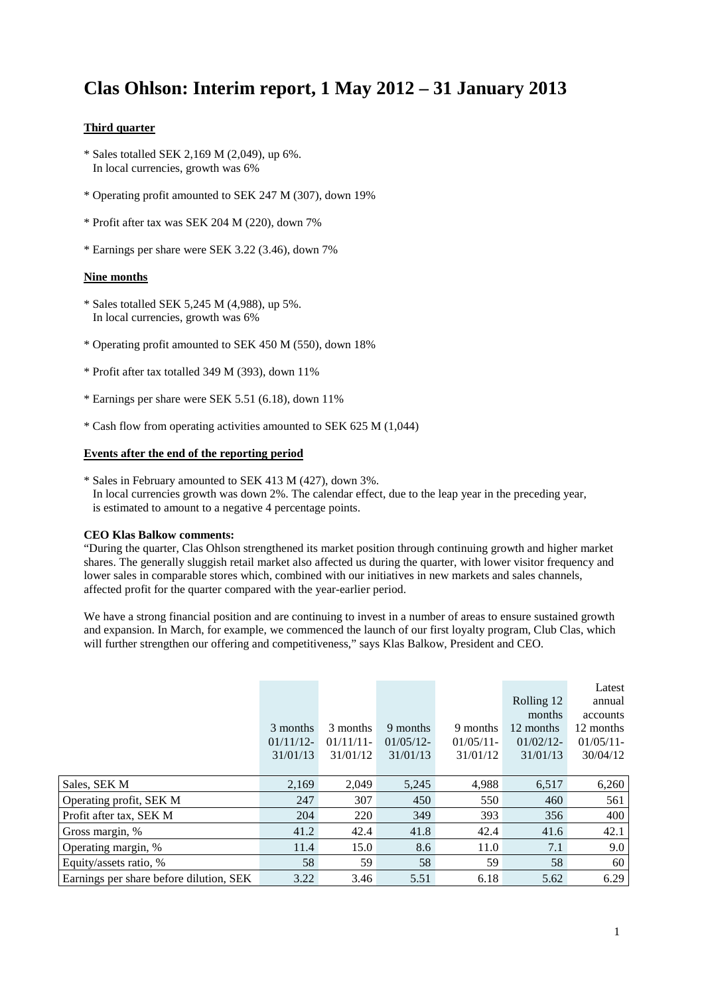## **Clas Ohlson: Interim report, 1 May 2012 – 31 January 2013**

#### **Third quarter**

- \* Sales totalled SEK 2,169 M (2,049), up 6%. In local currencies, growth was 6%
- \* Operating profit amounted to SEK 247 M (307), down 19%
- \* Profit after tax was SEK 204 M (220), down 7%
- \* Earnings per share were SEK 3.22 (3.46), down 7%

#### **Nine months**

- \* Sales totalled SEK 5,245 M (4,988), up 5%. In local currencies, growth was 6%
- \* Operating profit amounted to SEK 450 M (550), down 18%
- \* Profit after tax totalled 349 M (393), down 11%
- \* Earnings per share were SEK 5.51 (6.18), down 11%
- \* Cash flow from operating activities amounted to SEK 625 M (1,044)

#### **Events after the end of the reporting period**

\* Sales in February amounted to SEK 413 M (427), down 3%. In local currencies growth was down 2%. The calendar effect, due to the leap year in the preceding year, is estimated to amount to a negative 4 percentage points.

#### **CEO Klas Balkow comments:**

"During the quarter, Clas Ohlson strengthened its market position through continuing growth and higher market shares. The generally sluggish retail market also affected us during the quarter, with lower visitor frequency and lower sales in comparable stores which, combined with our initiatives in new markets and sales channels, affected profit for the quarter compared with the year-earlier period.

We have a strong financial position and are continuing to invest in a number of areas to ensure sustained growth and expansion. In March, for example, we commenced the launch of our first loyalty program, Club Clas, which will further strengthen our offering and competitiveness," says Klas Balkow, President and CEO.

|                                         |              |          |          |              |              | Latest       |
|-----------------------------------------|--------------|----------|----------|--------------|--------------|--------------|
|                                         |              |          |          |              | Rolling 12   | annual       |
|                                         |              |          |          |              | months       | accounts     |
|                                         | 3 months     | 3 months | 9 months | 9 months     | 12 months    | 12 months    |
|                                         | $01/11/12$ - | 01/11/11 | 01/05/12 | $01/05/11$ - | $01/02/12$ - | $01/05/11$ - |
|                                         | 31/01/13     | 31/01/12 | 31/01/13 | 31/01/12     | 31/01/13     | 30/04/12     |
|                                         |              |          |          |              |              |              |
| Sales, SEK M                            | 2,169        | 2,049    | 5,245    | 4,988        | 6,517        | 6,260        |
| Operating profit, SEK M                 | 247          | 307      | 450      | 550          | 460          | 561          |
| Profit after tax, SEK M                 | 204          | 220      | 349      | 393          | 356          | 400          |
| Gross margin, %                         | 41.2         | 42.4     | 41.8     | 42.4         | 41.6         | 42.1         |
| Operating margin, %                     | 11.4         | 15.0     | 8.6      | 11.0         | 7.1          | 9.0          |
| Equity/assets ratio, %                  | 58           | 59       | 58       | 59           | 58           | 60           |
| Earnings per share before dilution, SEK | 3.22         | 3.46     | 5.51     | 6.18         | 5.62         | 6.29         |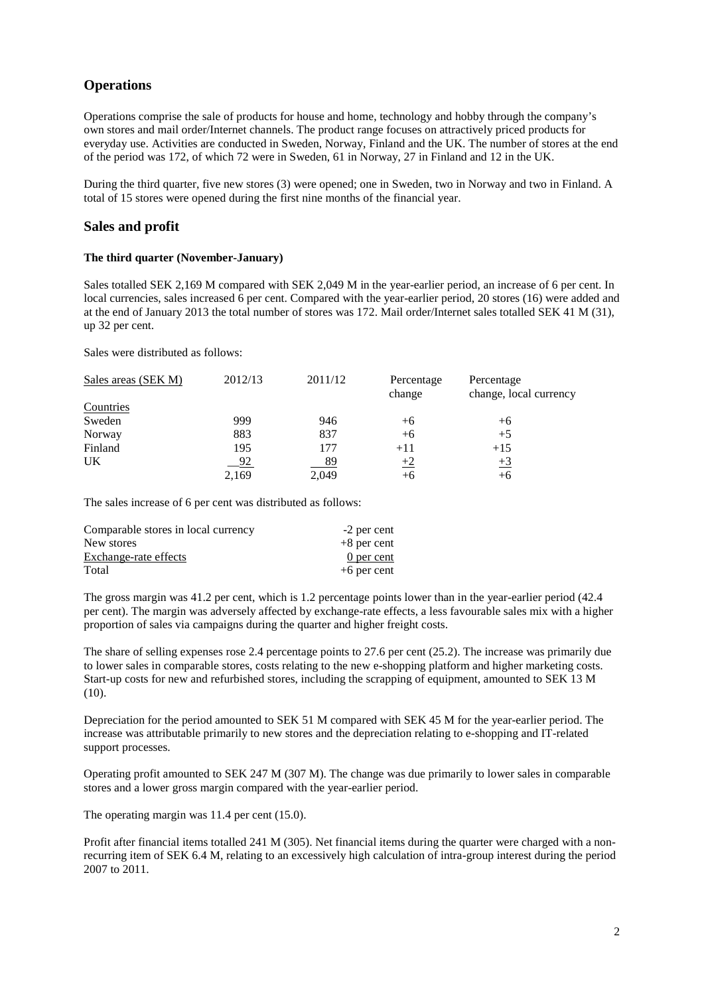## **Operations**

Operations comprise the sale of products for house and home, technology and hobby through the company's own stores and mail order/Internet channels. The product range focuses on attractively priced products for everyday use. Activities are conducted in Sweden, Norway, Finland and the UK. The number of stores at the end of the period was 172, of which 72 were in Sweden, 61 in Norway, 27 in Finland and 12 in the UK.

During the third quarter, five new stores (3) were opened; one in Sweden, two in Norway and two in Finland. A total of 15 stores were opened during the first nine months of the financial year.

### **Sales and profit**

#### **The third quarter (November-January)**

Sales totalled SEK 2,169 M compared with SEK 2,049 M in the year-earlier period, an increase of 6 per cent. In local currencies, sales increased 6 per cent. Compared with the year-earlier period, 20 stores (16) were added and at the end of January 2013 the total number of stores was 172. Mail order/Internet sales totalled SEK 41 M (31), up 32 per cent.

Sales were distributed as follows:

| Sales areas (SEK M) | 2012/13   | 2011/12   | Percentage<br>change | Percentage<br>change, local currency |
|---------------------|-----------|-----------|----------------------|--------------------------------------|
| Countries           |           |           |                      |                                      |
| Sweden              | 999       | 946       | $+6$                 | $+6$                                 |
| Norway              | 883       | 837       | $+6$                 | $+5$                                 |
| Finland             | 195       | 177       | $+11$                | $+15$                                |
| UK                  | <u>92</u> | <u>89</u> | $+2$                 | $\pm 3$                              |
|                     | 2,169     | 2,049     | $+6$                 | +6                                   |

The sales increase of 6 per cent was distributed as follows:

| Comparable stores in local currency | -2 per cent   |
|-------------------------------------|---------------|
| New stores                          | $+8$ per cent |
| Exchange-rate effects               | 0 per cent    |
| Total                               | $+6$ per cent |

The gross margin was 41.2 per cent, which is 1.2 percentage points lower than in the year-earlier period (42.4 per cent). The margin was adversely affected by exchange-rate effects, a less favourable sales mix with a higher proportion of sales via campaigns during the quarter and higher freight costs.

The share of selling expenses rose 2.4 percentage points to 27.6 per cent (25.2). The increase was primarily due to lower sales in comparable stores, costs relating to the new e-shopping platform and higher marketing costs. Start-up costs for new and refurbished stores, including the scrapping of equipment, amounted to SEK 13 M  $(10).$ 

Depreciation for the period amounted to SEK 51 M compared with SEK 45 M for the year-earlier period. The increase was attributable primarily to new stores and the depreciation relating to e-shopping and IT-related support processes.

Operating profit amounted to SEK 247 M (307 M). The change was due primarily to lower sales in comparable stores and a lower gross margin compared with the year-earlier period.

The operating margin was 11.4 per cent (15.0).

Profit after financial items totalled 241 M (305). Net financial items during the quarter were charged with a nonrecurring item of SEK 6.4 M, relating to an excessively high calculation of intra-group interest during the period 2007 to 2011.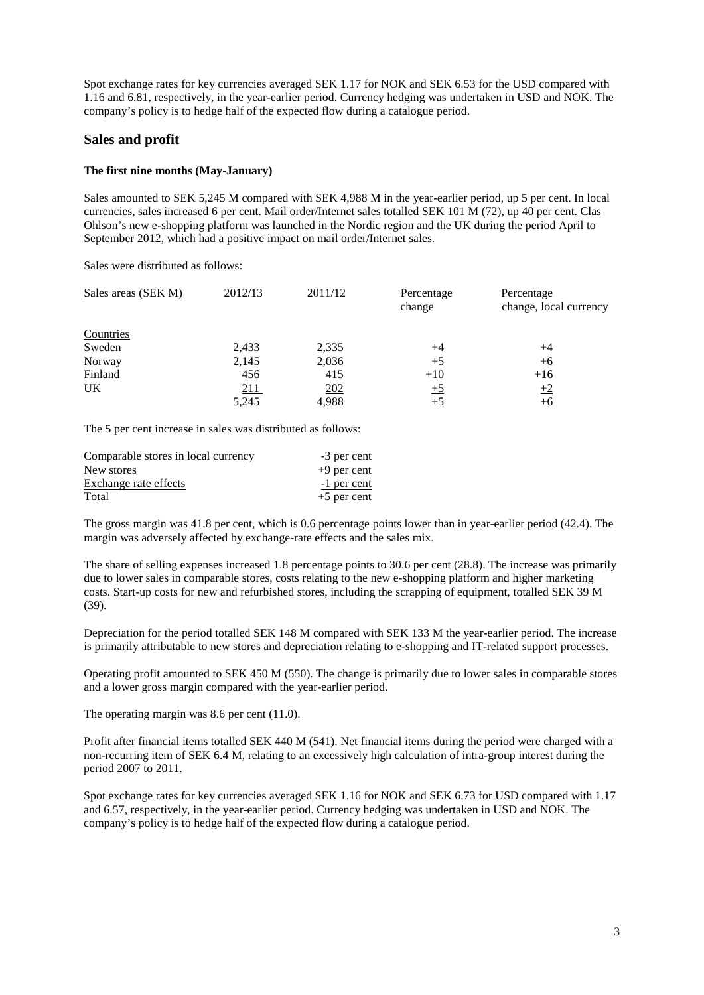Spot exchange rates for key currencies averaged SEK 1.17 for NOK and SEK 6.53 for the USD compared with 1.16 and 6.81, respectively, in the year-earlier period. Currency hedging was undertaken in USD and NOK. The company's policy is to hedge half of the expected flow during a catalogue period.

### **Sales and profit**

#### **The first nine months (May-January)**

Sales amounted to SEK 5,245 M compared with SEK 4,988 M in the year-earlier period, up 5 per cent. In local currencies, sales increased 6 per cent. Mail order/Internet sales totalled SEK 101 M (72), up 40 per cent. Clas Ohlson's new e-shopping platform was launched in the Nordic region and the UK during the period April to September 2012, which had a positive impact on mail order/Internet sales.

Sales were distributed as follows:

| Sales areas (SEK M) | 2012/13     | 2011/12 | Percentage<br>change | Percentage<br>change, local currency |
|---------------------|-------------|---------|----------------------|--------------------------------------|
| Countries           |             |         |                      |                                      |
| Sweden              | 2,433       | 2,335   | $+4$                 | $+4$                                 |
| Norway              | 2,145       | 2,036   | $+5$                 | $+6$                                 |
| Finland             | 456         | 415     | $+10$                | $+16$                                |
| UK                  | <u> 211</u> | 202     | $\pm 5$              | $+2$                                 |
|                     | 5,245       | 4,988   | $+5$                 | $+6$                                 |

The 5 per cent increase in sales was distributed as follows:

| Comparable stores in local currency | -3 per cent   |
|-------------------------------------|---------------|
| New stores                          | $+9$ per cent |
| Exchange rate effects               | -1 per cent   |
| Total                               | $+5$ per cent |

The gross margin was 41.8 per cent, which is 0.6 percentage points lower than in year-earlier period (42.4). The margin was adversely affected by exchange-rate effects and the sales mix.

The share of selling expenses increased 1.8 percentage points to 30.6 per cent (28.8). The increase was primarily due to lower sales in comparable stores, costs relating to the new e-shopping platform and higher marketing costs. Start-up costs for new and refurbished stores, including the scrapping of equipment, totalled SEK 39 M (39).

Depreciation for the period totalled SEK 148 M compared with SEK 133 M the year-earlier period. The increase is primarily attributable to new stores and depreciation relating to e-shopping and IT-related support processes.

Operating profit amounted to SEK 450 M (550). The change is primarily due to lower sales in comparable stores and a lower gross margin compared with the year-earlier period.

The operating margin was 8.6 per cent  $(11.0)$ .

Profit after financial items totalled SEK 440 M (541). Net financial items during the period were charged with a non-recurring item of SEK 6.4 M, relating to an excessively high calculation of intra-group interest during the period 2007 to 2011.

Spot exchange rates for key currencies averaged SEK 1.16 for NOK and SEK 6.73 for USD compared with 1.17 and 6.57, respectively, in the year-earlier period. Currency hedging was undertaken in USD and NOK. The company's policy is to hedge half of the expected flow during a catalogue period.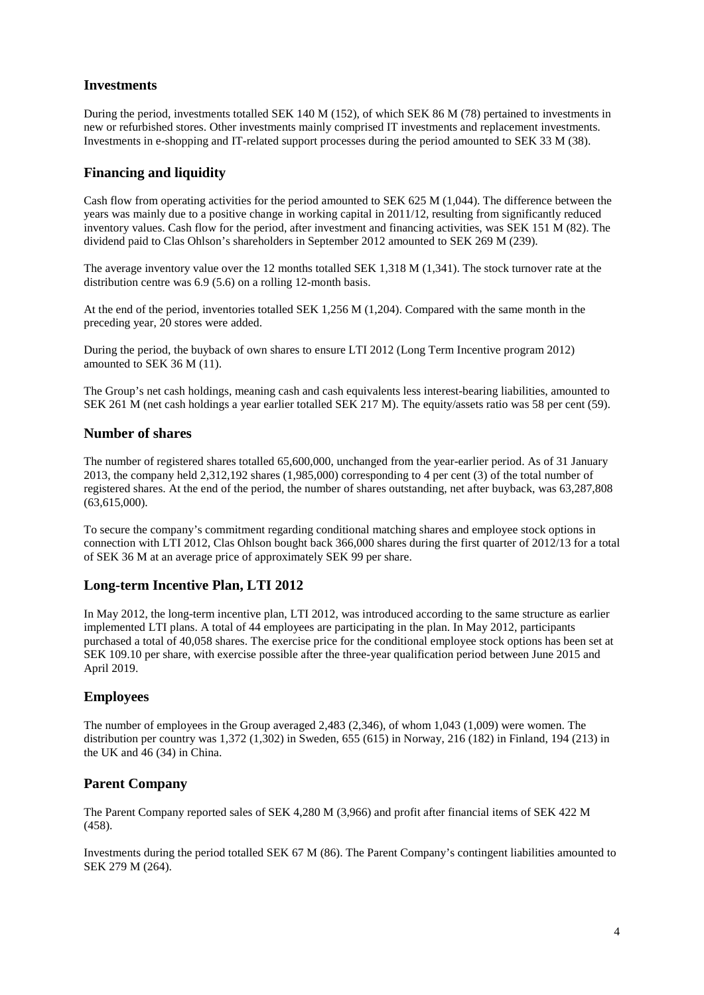## **Investments**

During the period, investments totalled SEK 140 M (152), of which SEK 86 M (78) pertained to investments in new or refurbished stores. Other investments mainly comprised IT investments and replacement investments. Investments in e-shopping and IT-related support processes during the period amounted to SEK 33 M (38).

## **Financing and liquidity**

Cash flow from operating activities for the period amounted to SEK 625 M (1,044). The difference between the years was mainly due to a positive change in working capital in 2011/12, resulting from significantly reduced inventory values. Cash flow for the period, after investment and financing activities, was SEK 151 M (82). The dividend paid to Clas Ohlson's shareholders in September 2012 amounted to SEK 269 M (239).

The average inventory value over the 12 months totalled SEK 1,318 M (1,341). The stock turnover rate at the distribution centre was 6.9 (5.6) on a rolling 12-month basis.

At the end of the period, inventories totalled SEK 1,256 M (1,204). Compared with the same month in the preceding year, 20 stores were added.

During the period, the buyback of own shares to ensure LTI 2012 (Long Term Incentive program 2012) amounted to SEK 36 M (11).

The Group's net cash holdings, meaning cash and cash equivalents less interest-bearing liabilities, amounted to SEK 261 M (net cash holdings a year earlier totalled SEK 217 M). The equity/assets ratio was 58 per cent (59).

### **Number of shares**

The number of registered shares totalled 65,600,000, unchanged from the year-earlier period. As of 31 January 2013, the company held 2,312,192 shares (1,985,000) corresponding to 4 per cent (3) of the total number of registered shares. At the end of the period, the number of shares outstanding, net after buyback, was 63,287,808  $(63,615,000)$ .

To secure the company's commitment regarding conditional matching shares and employee stock options in connection with LTI 2012, Clas Ohlson bought back 366,000 shares during the first quarter of 2012/13 for a total of SEK 36 M at an average price of approximately SEK 99 per share.

## **Long-term Incentive Plan, LTI 2012**

In May 2012, the long-term incentive plan, LTI 2012, was introduced according to the same structure as earlier implemented LTI plans. A total of 44 employees are participating in the plan. In May 2012, participants purchased a total of 40,058 shares. The exercise price for the conditional employee stock options has been set at SEK 109.10 per share, with exercise possible after the three-year qualification period between June 2015 and April 2019.

## **Employees**

The number of employees in the Group averaged 2,483 (2,346), of whom 1,043 (1,009) were women. The distribution per country was 1,372 (1,302) in Sweden, 655 (615) in Norway, 216 (182) in Finland, 194 (213) in the UK and 46 (34) in China.

## **Parent Company**

The Parent Company reported sales of SEK 4,280 M (3,966) and profit after financial items of SEK 422 M (458).

Investments during the period totalled SEK 67 M (86). The Parent Company's contingent liabilities amounted to SEK 279 M (264).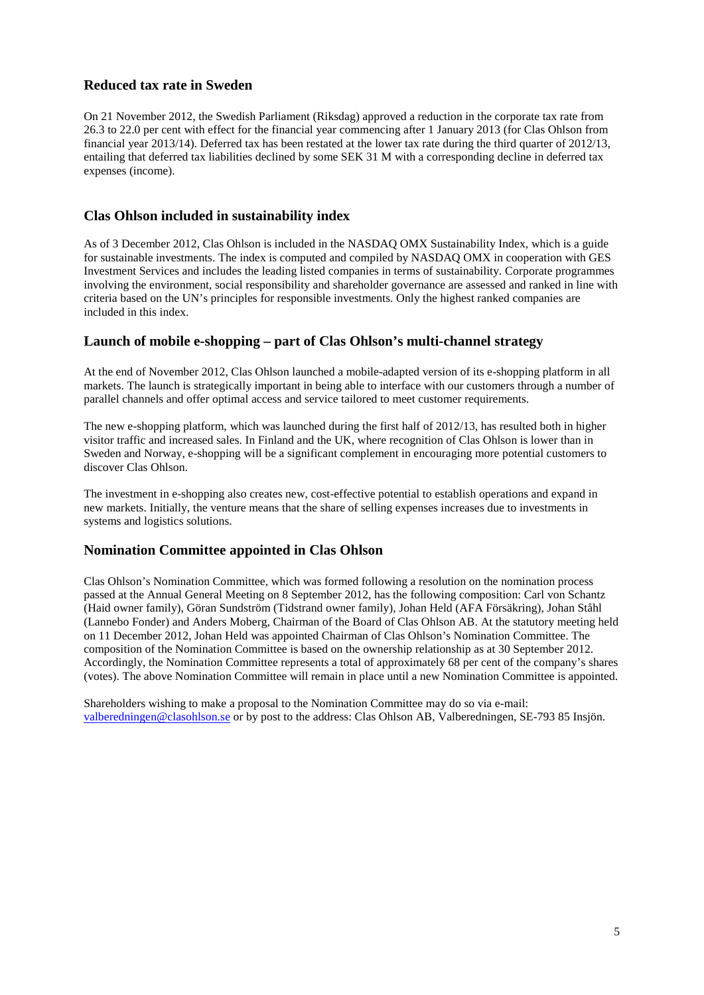## **Reduced tax rate in Sweden**

On 21 November 2012, the Swedish Parliament (Riksdag) approved a reduction in the corporate tax rate from 26.3 to 22.0 per cent with effect for the financial year commencing after 1 January 2013 (for Clas Ohlson from financial year 2013/14). Deferred tax has been restated at the lower tax rate during the third quarter of 2012/13, entailing that deferred tax liabilities declined by some SEK 31 M with a corresponding decline in deferred tax expenses (income).

### **Clas Ohlson included in sustainability index**

As of 3 December 2012, Clas Ohlson is included in the NASDAQ OMX Sustainability Index, which is a guide for sustainable investments. The index is computed and compiled by NASDAQ OMX in cooperation with GES Investment Services and includes the leading listed companies in terms of sustainability. Corporate programmes involving the environment, social responsibility and shareholder governance are assessed and ranked in line with criteria based on the UN's principles for responsible investments. Only the highest ranked companies are included in this index.

## **Launch of mobile e-shopping – part of Clas Ohlson's multi-channel strategy**

At the end of November 2012, Clas Ohlson launched a mobile-adapted version of its e-shopping platform in all markets. The launch is strategically important in being able to interface with our customers through a number of parallel channels and offer optimal access and service tailored to meet customer requirements.

The new e-shopping platform, which was launched during the first half of 2012/13, has resulted both in higher visitor traffic and increased sales. In Finland and the UK, where recognition of Clas Ohlson is lower than in Sweden and Norway, e-shopping will be a significant complement in encouraging more potential customers to discover Clas Ohlson.

The investment in e-shopping also creates new, cost-effective potential to establish operations and expand in new markets. Initially, the venture means that the share of selling expenses increases due to investments in systems and logistics solutions.

### **Nomination Committee appointed in Clas Ohlson**

Clas Ohlson's Nomination Committee, which was formed following a resolution on the nomination process passed at the Annual General Meeting on 8 September 2012, has the following composition: Carl von Schantz (Haid owner family), Göran Sundström (Tidstrand owner family), Johan Held (AFA Försäkring), Johan Ståhl (Lannebo Fonder) and Anders Moberg, Chairman of the Board of Clas Ohlson AB. At the statutory meeting held on 11 December 2012, Johan Held was appointed Chairman of Clas Ohlson's Nomination Committee. The composition of the Nomination Committee is based on the ownership relationship as at 30 September 2012. Accordingly, the Nomination Committee represents a total of approximately 68 per cent of the company's shares (votes). The above Nomination Committee will remain in place until a new Nomination Committee is appointed.

Shareholders wishing to make a proposal to the Nomination Committee may do so via e-mail: [valberedningen@clasohlson.se](mailto:valberedningen@clasohlson.se) or by post to the address: Clas Ohlson AB, Valberedningen, SE-793 85 Insjön.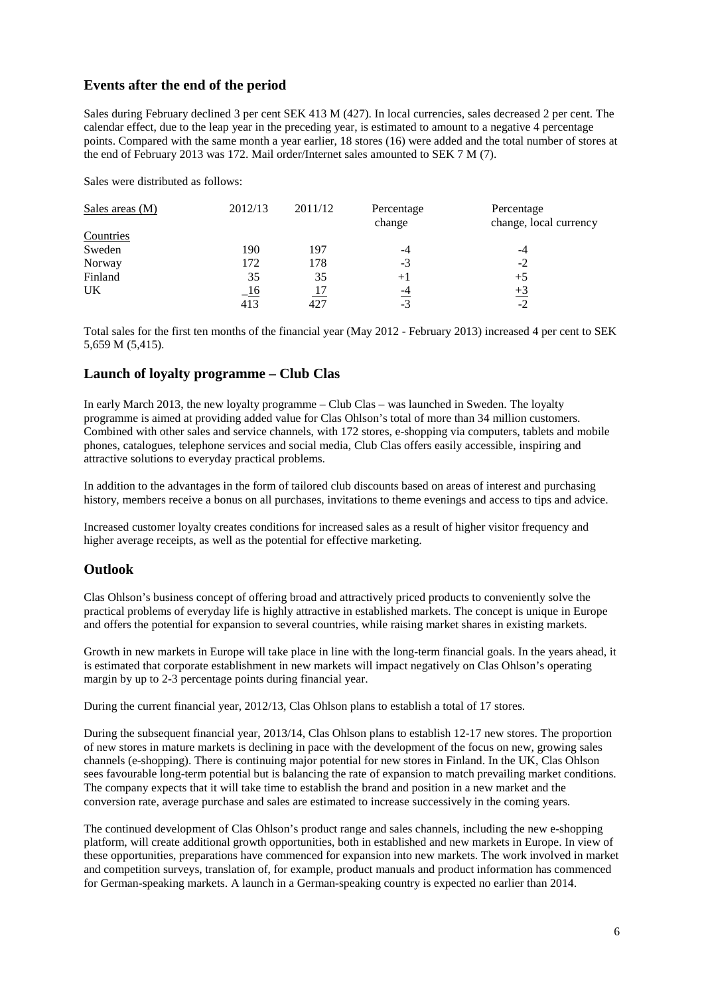## **Events after the end of the period**

Sales during February declined 3 per cent SEK 413 M (427). In local currencies, sales decreased 2 per cent. The calendar effect, due to the leap year in the preceding year, is estimated to amount to a negative 4 percentage points. Compared with the same month a year earlier, 18 stores (16) were added and the total number of stores at the end of February 2013 was 172. Mail order/Internet sales amounted to SEK 7 M (7).

Sales were distributed as follows:

| Sales areas $(M)$ | 2012/13    | 2011/12 | Percentage<br>change | Percentage<br>change, local currency |
|-------------------|------------|---------|----------------------|--------------------------------------|
| Countries         |            |         |                      |                                      |
| Sweden            | 190        | 197     | -4                   | -4                                   |
| Norway            | 172        | 178     | $-3$                 | $-2$                                 |
| Finland           | 35         | 35      | $+1$                 | $+5$                                 |
| UK                | <u>-16</u> |         | $\overline{-4}$      | $+3$                                 |
|                   | 413        | 427     | $-3$                 | $-2$                                 |

Total sales for the first ten months of the financial year (May 2012 - February 2013) increased 4 per cent to SEK 5,659 M (5,415).

### **Launch of loyalty programme – Club Clas**

In early March 2013, the new loyalty programme – Club Clas – was launched in Sweden. The loyalty programme is aimed at providing added value for Clas Ohlson's total of more than 34 million customers. Combined with other sales and service channels, with 172 stores, e-shopping via computers, tablets and mobile phones, catalogues, telephone services and social media, Club Clas offers easily accessible, inspiring and attractive solutions to everyday practical problems.

In addition to the advantages in the form of tailored club discounts based on areas of interest and purchasing history, members receive a bonus on all purchases, invitations to theme evenings and access to tips and advice.

Increased customer loyalty creates conditions for increased sales as a result of higher visitor frequency and higher average receipts, as well as the potential for effective marketing.

### **Outlook**

Clas Ohlson's business concept of offering broad and attractively priced products to conveniently solve the practical problems of everyday life is highly attractive in established markets. The concept is unique in Europe and offers the potential for expansion to several countries, while raising market shares in existing markets.

Growth in new markets in Europe will take place in line with the long-term financial goals. In the years ahead, it is estimated that corporate establishment in new markets will impact negatively on Clas Ohlson's operating margin by up to 2-3 percentage points during financial year.

During the current financial year, 2012/13, Clas Ohlson plans to establish a total of 17 stores.

During the subsequent financial year, 2013/14, Clas Ohlson plans to establish 12-17 new stores. The proportion of new stores in mature markets is declining in pace with the development of the focus on new, growing sales channels (e-shopping). There is continuing major potential for new stores in Finland. In the UK, Clas Ohlson sees favourable long-term potential but is balancing the rate of expansion to match prevailing market conditions. The company expects that it will take time to establish the brand and position in a new market and the conversion rate, average purchase and sales are estimated to increase successively in the coming years.

The continued development of Clas Ohlson's product range and sales channels, including the new e-shopping platform, will create additional growth opportunities, both in established and new markets in Europe. In view of these opportunities, preparations have commenced for expansion into new markets. The work involved in market and competition surveys, translation of, for example, product manuals and product information has commenced for German-speaking markets. A launch in a German-speaking country is expected no earlier than 2014.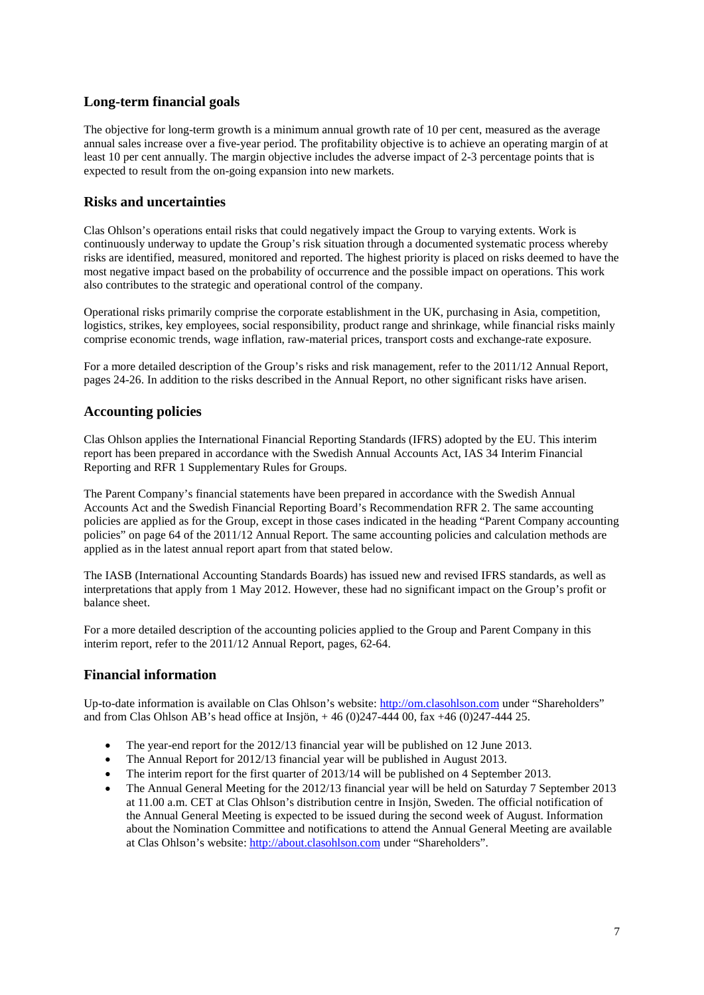## **Long-term financial goals**

The objective for long-term growth is a minimum annual growth rate of 10 per cent, measured as the average annual sales increase over a five-year period. The profitability objective is to achieve an operating margin of at least 10 per cent annually. The margin objective includes the adverse impact of 2-3 percentage points that is expected to result from the on-going expansion into new markets.

### **Risks and uncertainties**

Clas Ohlson's operations entail risks that could negatively impact the Group to varying extents. Work is continuously underway to update the Group's risk situation through a documented systematic process whereby risks are identified, measured, monitored and reported. The highest priority is placed on risks deemed to have the most negative impact based on the probability of occurrence and the possible impact on operations. This work also contributes to the strategic and operational control of the company.

Operational risks primarily comprise the corporate establishment in the UK, purchasing in Asia, competition, logistics, strikes, key employees, social responsibility, product range and shrinkage, while financial risks mainly comprise economic trends, wage inflation, raw-material prices, transport costs and exchange-rate exposure.

For a more detailed description of the Group's risks and risk management, refer to the 2011/12 Annual Report, pages 24-26. In addition to the risks described in the Annual Report, no other significant risks have arisen.

### **Accounting policies**

Clas Ohlson applies the International Financial Reporting Standards (IFRS) adopted by the EU. This interim report has been prepared in accordance with the Swedish Annual Accounts Act, IAS 34 Interim Financial Reporting and RFR 1 Supplementary Rules for Groups.

The Parent Company's financial statements have been prepared in accordance with the Swedish Annual Accounts Act and the Swedish Financial Reporting Board's Recommendation RFR 2. The same accounting policies are applied as for the Group, except in those cases indicated in the heading "Parent Company accounting policies" on page 64 of the 2011/12 Annual Report. The same accounting policies and calculation methods are applied as in the latest annual report apart from that stated below.

The IASB (International Accounting Standards Boards) has issued new and revised IFRS standards, as well as interpretations that apply from 1 May 2012. However, these had no significant impact on the Group's profit or balance sheet.

For a more detailed description of the accounting policies applied to the Group and Parent Company in this interim report, refer to the 2011/12 Annual Report, pages, 62-64.

## **Financial information**

Up-to-date information is available on Clas Ohlson's website: [http://om.clasohlson.com](http://om.clasohlson.com/) under "Shareholders" and from Clas Ohlson AB's head office at Insjön, + 46 (0)247-444 00, fax +46 (0)247-444 25.

- The year-end report for the 2012/13 financial year will be published on 12 June 2013.
- The Annual Report for 2012/13 financial year will be published in August 2013.
- The interim report for the first quarter of 2013/14 will be published on 4 September 2013.
- The Annual General Meeting for the 2012/13 financial year will be held on Saturday 7 September 2013 at 11.00 a.m. CET at Clas Ohlson's distribution centre in Insjön, Sweden. The official notification of the Annual General Meeting is expected to be issued during the second week of August. Information about the Nomination Committee and notifications to attend the Annual General Meeting are available at Clas Ohlson's website: [http://about.clasohlson.com](http://about.clasohlson.com/) under "Shareholders".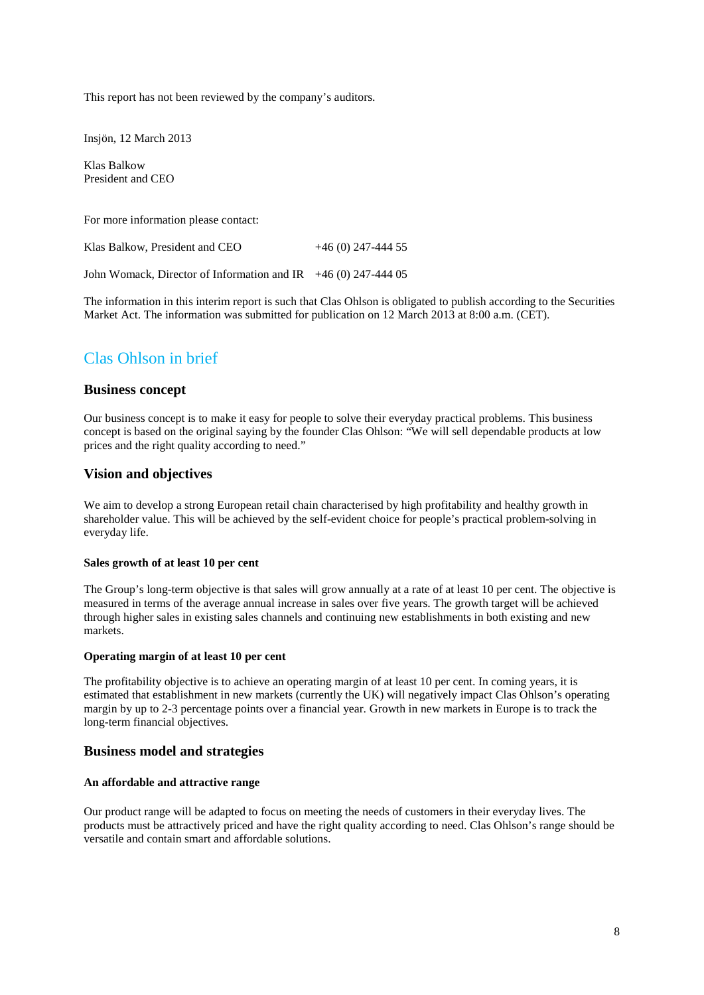This report has not been reviewed by the company's auditors.

Insjön, 12 March 2013

Klas Balkow President and CEO

For more information please contact:

Klas Balkow, President and CEO  $+46(0)$  247-444 55

John Womack, Director of Information and IR  $+46(0)$  247-444 05

The information in this interim report is such that Clas Ohlson is obligated to publish according to the Securities Market Act. The information was submitted for publication on 12 March 2013 at 8:00 a.m. (CET).

## Clas Ohlson in brief

#### **Business concept**

Our business concept is to make it easy for people to solve their everyday practical problems. This business concept is based on the original saying by the founder Clas Ohlson: "We will sell dependable products at low prices and the right quality according to need."

#### **Vision and objectives**

We aim to develop a strong European retail chain characterised by high profitability and healthy growth in shareholder value. This will be achieved by the self-evident choice for people's practical problem-solving in everyday life.

#### **Sales growth of at least 10 per cent**

The Group's long-term objective is that sales will grow annually at a rate of at least 10 per cent. The objective is measured in terms of the average annual increase in sales over five years. The growth target will be achieved through higher sales in existing sales channels and continuing new establishments in both existing and new markets.

#### **Operating margin of at least 10 per cent**

The profitability objective is to achieve an operating margin of at least 10 per cent. In coming years, it is estimated that establishment in new markets (currently the UK) will negatively impact Clas Ohlson's operating margin by up to 2-3 percentage points over a financial year. Growth in new markets in Europe is to track the long-term financial objectives.

#### **Business model and strategies**

#### **An affordable and attractive range**

Our product range will be adapted to focus on meeting the needs of customers in their everyday lives. The products must be attractively priced and have the right quality according to need. Clas Ohlson's range should be versatile and contain smart and affordable solutions.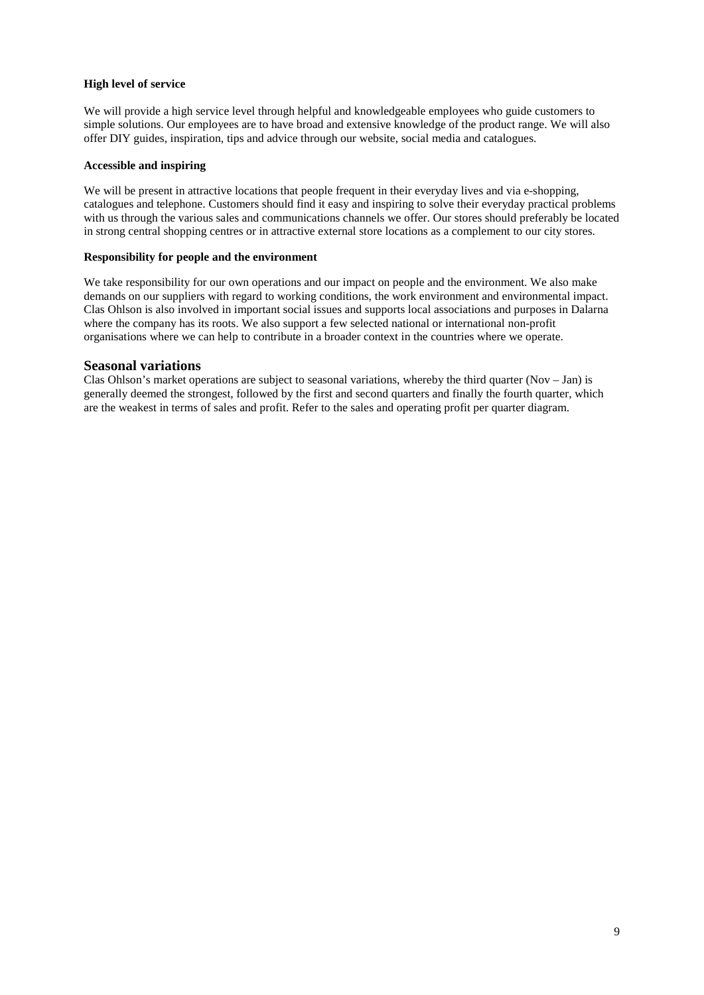#### **High level of service**

We will provide a high service level through helpful and knowledgeable employees who guide customers to simple solutions. Our employees are to have broad and extensive knowledge of the product range. We will also offer DIY guides, inspiration, tips and advice through our website, social media and catalogues.

#### **Accessible and inspiring**

We will be present in attractive locations that people frequent in their everyday lives and via e-shopping, catalogues and telephone. Customers should find it easy and inspiring to solve their everyday practical problems with us through the various sales and communications channels we offer. Our stores should preferably be located in strong central shopping centres or in attractive external store locations as a complement to our city stores.

#### **Responsibility for people and the environment**

We take responsibility for our own operations and our impact on people and the environment. We also make demands on our suppliers with regard to working conditions, the work environment and environmental impact. Clas Ohlson is also involved in important social issues and supports local associations and purposes in Dalarna where the company has its roots. We also support a few selected national or international non-profit organisations where we can help to contribute in a broader context in the countries where we operate.

#### **Seasonal variations**

Clas Ohlson's market operations are subject to seasonal variations, whereby the third quarter (Nov – Jan) is generally deemed the strongest, followed by the first and second quarters and finally the fourth quarter, which are the weakest in terms of sales and profit. Refer to the sales and operating profit per quarter diagram.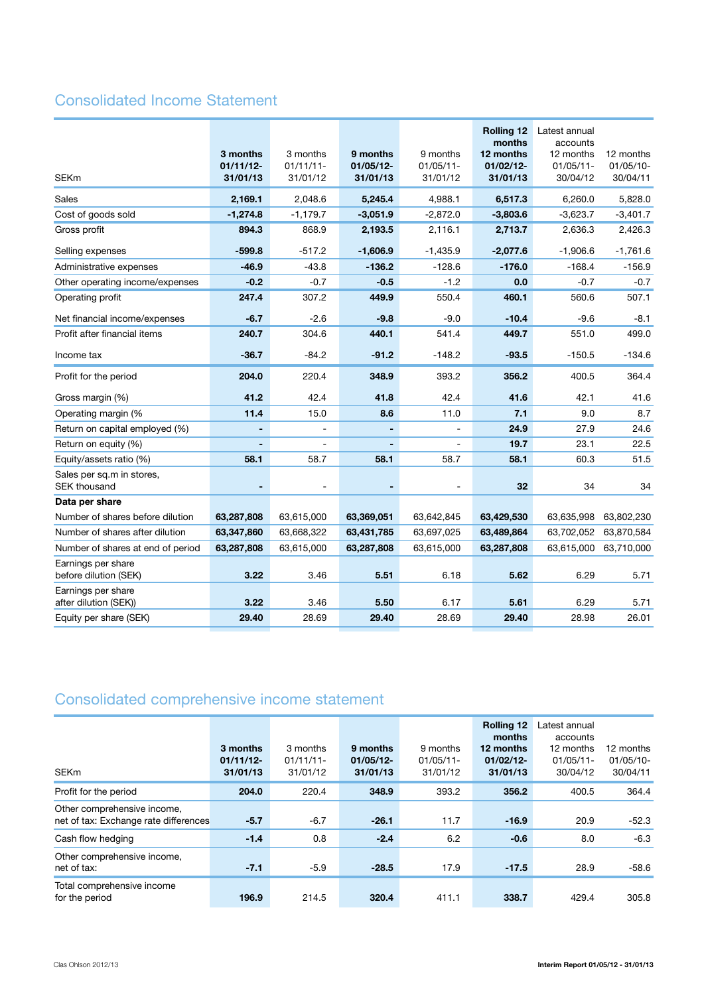## Consolidated Income Statement

| <b>SEKm</b>                                 | 3 months<br>$01/11/12-$<br>31/01/13 | 3 months<br>$01/11/11-$<br>31/01/12 | 9 months<br>$01/05/12 -$<br>31/01/13 | 9 months<br>$01/05/11 -$<br>31/01/12 | <b>Rolling 12</b><br>months<br>12 months<br>01/02/12-<br>31/01/13 | Latest annual<br>accounts<br>12 months<br>$01/05/11$ -<br>30/04/12 | 12 months<br>01/05/10-<br>30/04/11 |
|---------------------------------------------|-------------------------------------|-------------------------------------|--------------------------------------|--------------------------------------|-------------------------------------------------------------------|--------------------------------------------------------------------|------------------------------------|
| Sales                                       | 2,169.1                             | 2,048.6                             | 5,245.4                              | 4,988.1                              | 6,517.3                                                           | 6,260.0                                                            | 5,828.0                            |
| Cost of goods sold                          | $-1,274.8$                          | $-1,179.7$                          | $-3,051.9$                           | $-2,872.0$                           | $-3,803.6$                                                        | $-3,623.7$                                                         | $-3,401.7$                         |
| Gross profit                                | 894.3                               | 868.9                               | 2,193.5                              | 2,116.1                              | 2,713.7                                                           | 2,636.3                                                            | 2,426.3                            |
| Selling expenses                            | $-599.8$                            | $-517.2$                            | $-1,606.9$                           | $-1,435.9$                           | $-2,077.6$                                                        | $-1,906.6$                                                         | $-1,761.6$                         |
| Administrative expenses                     | $-46.9$                             | $-43.8$                             | $-136.2$                             | $-128.6$                             | $-176.0$                                                          | $-168.4$                                                           | $-156.9$                           |
| Other operating income/expenses             | $-0.2$                              | $-0.7$                              | $-0.5$                               | $-1.2$                               | 0.0                                                               | $-0.7$                                                             | $-0.7$                             |
| Operating profit                            | 247.4                               | 307.2                               | 449.9                                | 550.4                                | 460.1                                                             | 560.6                                                              | 507.1                              |
| Net financial income/expenses               | $-6.7$                              | $-2.6$                              | $-9.8$                               | $-9.0$                               | $-10.4$                                                           | $-9.6$                                                             | $-8.1$                             |
| Profit after financial items                | 240.7                               | 304.6                               | 440.1                                | 541.4                                | 449.7                                                             | 551.0                                                              | 499.0                              |
| Income tax                                  | $-36.7$                             | $-84.2$                             | $-91.2$                              | $-148.2$                             | $-93.5$                                                           | $-150.5$                                                           | $-134.6$                           |
| Profit for the period                       | 204.0                               | 220.4                               | 348.9                                | 393.2                                | 356.2                                                             | 400.5                                                              | 364.4                              |
| Gross margin (%)                            | 41.2                                | 42.4                                | 41.8                                 | 42.4                                 | 41.6                                                              | 42.1                                                               | 41.6                               |
| Operating margin (%                         | 11.4                                | 15.0                                | 8.6                                  | 11.0                                 | 7.1                                                               | 9.0                                                                | 8.7                                |
| Return on capital employed (%)              |                                     |                                     | ÷,                                   | $\blacksquare$                       | 24.9                                                              | 27.9                                                               | 24.6                               |
| Return on equity (%)                        |                                     |                                     |                                      |                                      | 19.7                                                              | 23.1                                                               | 22.5                               |
| Equity/assets ratio (%)                     | 58.1                                | 58.7                                | 58.1                                 | 58.7                                 | 58.1                                                              | 60.3                                                               | 51.5                               |
| Sales per sq.m in stores,<br>SEK thousand   |                                     |                                     |                                      |                                      | 32                                                                | 34                                                                 | 34                                 |
| Data per share                              |                                     |                                     |                                      |                                      |                                                                   |                                                                    |                                    |
| Number of shares before dilution            | 63,287,808                          | 63,615,000                          | 63,369,051                           | 63,642,845                           | 63,429,530                                                        | 63,635,998                                                         | 63,802,230                         |
| Number of shares after dilution             | 63,347,860                          | 63,668,322                          | 63,431,785                           | 63,697,025                           | 63,489,864                                                        | 63,702,052                                                         | 63,870,584                         |
| Number of shares at end of period           | 63,287,808                          | 63,615,000                          | 63,287,808                           | 63,615,000                           | 63,287,808                                                        | 63,615,000                                                         | 63,710,000                         |
| Earnings per share<br>before dilution (SEK) | 3.22                                | 3.46                                | 5.51                                 | 6.18                                 | 5.62                                                              | 6.29                                                               | 5.71                               |
| Earnings per share<br>after dilution (SEK)) | 3.22                                | 3.46                                | 5.50                                 | 6.17                                 | 5.61                                                              | 6.29                                                               | 5.71                               |
| Equity per share (SEK)                      | 29.40                               | 28.69                               | 29.40                                | 28.69                                | 29.40                                                             | 28.98                                                              | 26.01                              |

## Consolidated comprehensive income statement

| <b>SEKm</b>                                                          | 3 months<br>$01/11/12$ -<br>31/01/13 | 3 months<br>$01/11/11-$<br>31/01/12 | 9 months<br>$01/05/12$ -<br>31/01/13 | 9 months<br>$01/05/11$ -<br>31/01/12 | <b>Rolling 12</b><br>months<br>12 months<br>$01/02/12$ -<br>31/01/13 | Latest annual<br>accounts<br>12 months<br>$01/05/11$ -<br>30/04/12 | 12 months<br>$01/05/10-$<br>30/04/11 |
|----------------------------------------------------------------------|--------------------------------------|-------------------------------------|--------------------------------------|--------------------------------------|----------------------------------------------------------------------|--------------------------------------------------------------------|--------------------------------------|
| Profit for the period                                                | 204.0                                | 220.4                               | 348.9                                | 393.2                                | 356.2                                                                | 400.5                                                              | 364.4                                |
| Other comprehensive income,<br>net of tax: Exchange rate differences | $-5.7$                               | $-6.7$                              | $-26.1$                              | 11.7                                 | $-16.9$                                                              | 20.9                                                               | $-52.3$                              |
| Cash flow hedging                                                    | $-1.4$                               | 0.8                                 | $-2.4$                               | 6.2                                  | $-0.6$                                                               | 8.0                                                                | $-6.3$                               |
| Other comprehensive income,<br>net of tax:                           | $-7.1$                               | $-5.9$                              | $-28.5$                              | 17.9                                 | $-17.5$                                                              | 28.9                                                               | $-58.6$                              |
| Total comprehensive income<br>for the period                         | 196.9                                | 214.5                               | 320.4                                | 411.1                                | 338.7                                                                | 429.4                                                              | 305.8                                |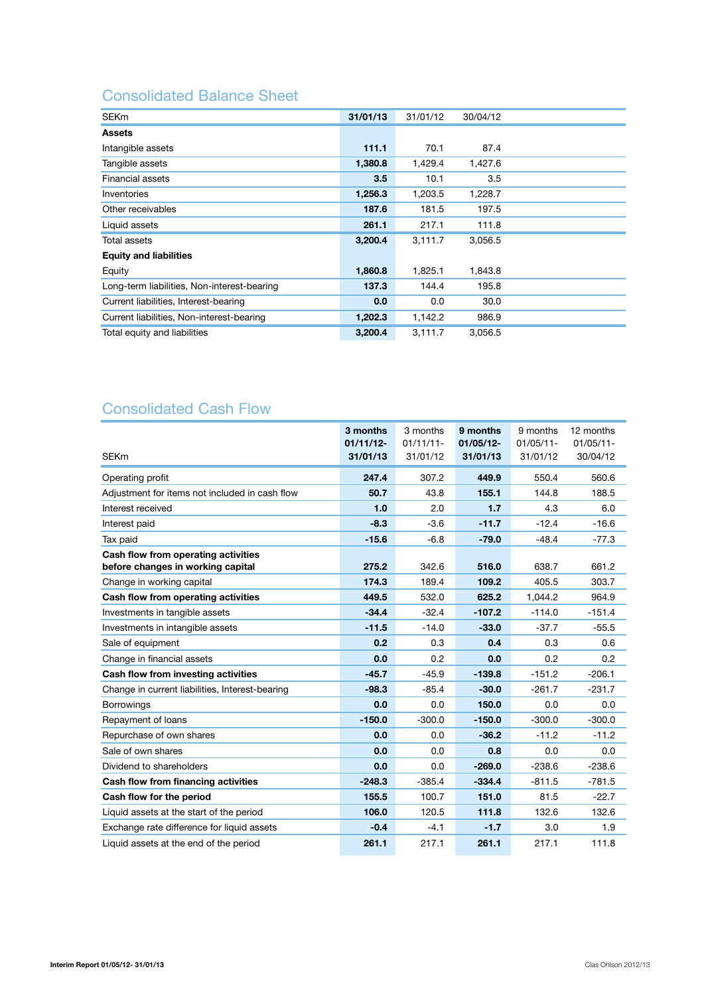## Consolidated Balance Sheet

| <b>SEKm</b>                                 | 31/01/13 | 31/01/12 | 30/04/12 |  |
|---------------------------------------------|----------|----------|----------|--|
| <b>Assets</b>                               |          |          |          |  |
| Intangible assets                           | 111.1    | 70.1     | 87.4     |  |
| Tangible assets                             | 1,380.8  | 1,429.4  | 1,427.6  |  |
| Financial assets                            | 3.5      | 10.1     | 3.5      |  |
| Inventories                                 | 1,256.3  | 1,203.5  | 1,228.7  |  |
| Other receivables                           | 187.6    | 181.5    | 197.5    |  |
| Liquid assets                               | 261.1    | 217.1    | 111.8    |  |
| Total assets                                | 3,200.4  | 3,111.7  | 3,056.5  |  |
| <b>Equity and liabilities</b>               |          |          |          |  |
| Equity                                      | 1,860.8  | 1,825.1  | 1,843.8  |  |
| Long-term liabilities, Non-interest-bearing | 137.3    | 144.4    | 195.8    |  |
| Current liabilities, Interest-bearing       | 0.0      | 0.0      | 30.0     |  |
| Current liabilities, Non-interest-bearing   | 1,202.3  | 1,142.2  | 986.9    |  |
| Total equity and liabilities                | 3,200.4  | 3,111.7  | 3,056.5  |  |

## Consolidated Cash Flow

|                                                                          | 3 months<br>$01/11/12$ - | 3 months<br>$01/11/11-$ | 9 months<br>$01/05/12 -$ | 9 months<br>$01/05/11 -$ | 12 months<br>$01/05/11 -$ |
|--------------------------------------------------------------------------|--------------------------|-------------------------|--------------------------|--------------------------|---------------------------|
| <b>SEKm</b>                                                              | 31/01/13                 | 31/01/12                | 31/01/13                 | 31/01/12                 | 30/04/12                  |
| Operating profit                                                         | 247.4                    | 307.2                   | 449.9                    | 550.4                    | 560.6                     |
| Adjustment for items not included in cash flow                           | 50.7                     | 43.8                    | 155.1                    | 144.8                    | 188.5                     |
| Interest received                                                        | 1.0                      | 2.0                     | 1.7                      | 4.3                      | 6.0                       |
| Interest paid                                                            | $-8.3$                   | $-3.6$                  | $-11.7$                  | $-12.4$                  | $-16.6$                   |
| Tax paid                                                                 | $-15.6$                  | $-6.8$                  | $-79.0$                  | $-48.4$                  | $-77.3$                   |
| Cash flow from operating activities<br>before changes in working capital | 275.2                    | 342.6                   | 516.0                    | 638.7                    | 661.2                     |
| Change in working capital                                                | 174.3                    | 189.4                   | 109.2                    | 405.5                    | 303.7                     |
| Cash flow from operating activities                                      | 449.5                    | 532.0                   | 625.2                    | 1.044.2                  | 964.9                     |
| Investments in tangible assets                                           | $-34.4$                  | $-32.4$                 | $-107.2$                 | $-114.0$                 | $-151.4$                  |
| Investments in intangible assets                                         | $-11.5$                  | $-14.0$                 | $-33.0$                  | $-37.7$                  | $-55.5$                   |
| Sale of equipment                                                        | 0.2                      | 0.3                     | 0.4                      | 0.3                      | 0.6                       |
| Change in financial assets                                               | 0.0                      | 0.2                     | 0.0                      | 0.2                      | 0.2                       |
| Cash flow from investing activities                                      | $-45.7$                  | $-45.9$                 | $-139.8$                 | $-151.2$                 | $-206.1$                  |
| Change in current liabilities, Interest-bearing                          | $-98.3$                  | $-85.4$                 | $-30.0$                  | $-261.7$                 | $-231.7$                  |
| <b>Borrowings</b>                                                        | 0.0                      | 0.0                     | 150.0                    | 0.0                      | 0.0                       |
| Repayment of loans                                                       | $-150.0$                 | $-300.0$                | $-150.0$                 | $-300.0$                 | $-300.0$                  |
| Repurchase of own shares                                                 | 0.0                      | 0.0                     | $-36.2$                  | $-11.2$                  | $-11.2$                   |
| Sale of own shares                                                       | 0.0                      | 0.0                     | 0.8                      | 0.0                      | 0.0                       |
| Dividend to shareholders                                                 | 0.0                      | 0.0                     | $-269.0$                 | $-238.6$                 | $-238.6$                  |
| Cash flow from financing activities                                      | $-248.3$                 | $-385.4$                | $-334.4$                 | $-811.5$                 | $-781.5$                  |
| Cash flow for the period                                                 | 155.5                    | 100.7                   | 151.0                    | 81.5                     | $-22.7$                   |
| Liquid assets at the start of the period                                 | 106.0                    | 120.5                   | 111.8                    | 132.6                    | 132.6                     |
| Exchange rate difference for liquid assets                               | $-0.4$                   | $-4.1$                  | $-1.7$                   | 3.0                      | 1.9                       |
| Liquid assets at the end of the period                                   | 261.1                    | 217.1                   | 261.1                    | 217.1                    | 111.8                     |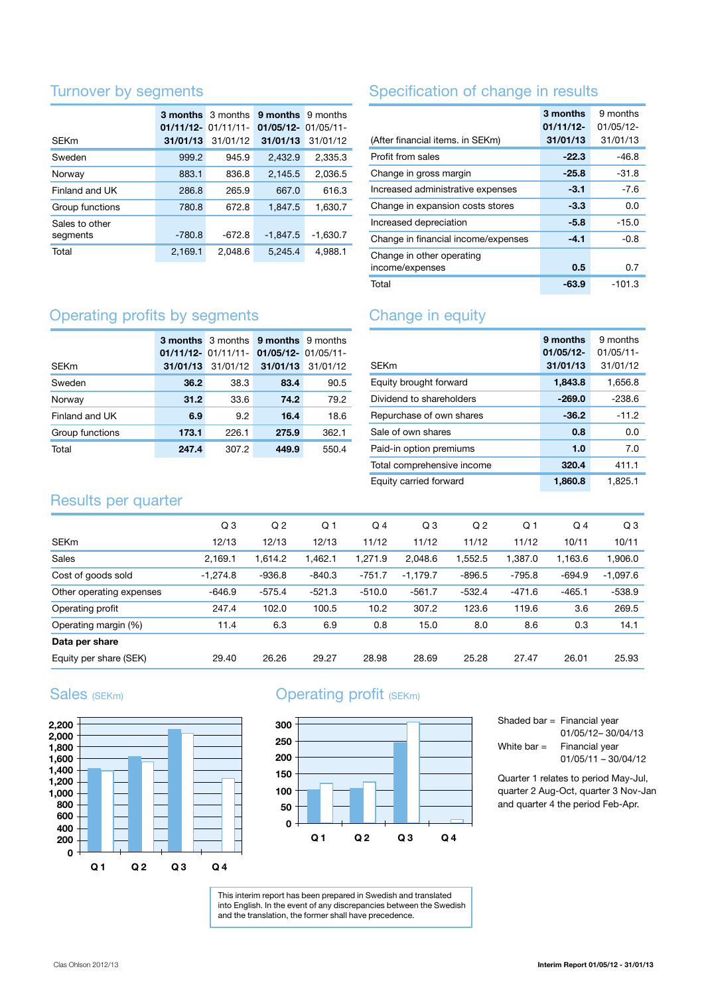## Turnover by segments

|                            | <b>3 months</b> 3 months<br>$01/11/12 - 01/11/11 -$ |          | 9 months<br>$01/05/12 - 01/05/11 -$ | 9 months   |
|----------------------------|-----------------------------------------------------|----------|-------------------------------------|------------|
| <b>SEKm</b>                | 31/01/13                                            | 31/01/12 | 31/01/13                            | 31/01/12   |
| Sweden                     | 999.2                                               | 945.9    | 2,432.9                             | 2,335.3    |
| Norway                     | 883.1                                               | 836.8    | 2,145.5                             | 2,036.5    |
| Finland and UK             | 286.8                                               | 265.9    | 667.0                               | 616.3      |
| Group functions            | 780.8                                               | 672.8    | 1,847.5                             | 1,630.7    |
| Sales to other<br>segments | $-780.8$                                            | $-672.8$ | $-1,847.5$                          | $-1,630.7$ |
| Total                      | 2,169.1                                             | 2.048.6  | 5,245.4                             | 4.988.1    |

## Specification of change in results

|                                              | 3 months<br>$01/11/12$ - | 9 months<br>$01/05/12 -$ |
|----------------------------------------------|--------------------------|--------------------------|
| (After financial items. in SEKm)             | 31/01/13                 | 31/01/13                 |
| Profit from sales                            | $-22.3$                  | $-46.8$                  |
| Change in gross margin                       | $-25.8$                  | -31.8                    |
| Increased administrative expenses            | $-3.1$                   | $-7.6$                   |
| Change in expansion costs stores             | $-3.3$                   | 0.0                      |
| Increased depreciation                       | $-5.8$                   | $-15.0$                  |
| Change in financial income/expenses          | $-4.1$                   | -0.8                     |
| Change in other operating<br>income/expenses | 0.5                      | 0.7                      |
| Total                                        | $-63.9$                  | -101.3                   |

## Operating profits by segments

| <b>SEKm</b>     | 31/01/13 |       | <b>3 months</b> 3 months 9 months 9 months<br>01/11/12- 01/11/11- 01/05/12- 01/05/11-<br>31/01/12 31/01/13 31/01/12 |       |
|-----------------|----------|-------|---------------------------------------------------------------------------------------------------------------------|-------|
| Sweden          | 36.2     | 38.3  | 83.4                                                                                                                | 90.5  |
| Norway          | 31.2     | 33.6  | 74.2                                                                                                                | 79.2  |
| Finland and UK  | 6.9      | 9.2   | 16.4                                                                                                                | 18.6  |
| Group functions | 173.1    | 226.1 | 275.9                                                                                                               | 362.1 |
| Total           | 247.4    | 307.2 | 449.9                                                                                                               | 550.4 |

## Change in equity

| <b>SFKm</b>                | 9 months<br>01/05/12-<br>31/01/13 | 9 months<br>$01/05/11$ -<br>31/01/12 |
|----------------------------|-----------------------------------|--------------------------------------|
| Equity brought forward     | 1,843.8                           | 1,656.8                              |
| Dividend to shareholders   | $-269.0$                          | $-238.6$                             |
| Repurchase of own shares   | $-36.2$                           | $-11.2$                              |
| Sale of own shares         | 0.8                               | 0.0                                  |
| Paid-in option premiums    | 1.0                               | 7.0                                  |
| Total comprehensive income | 320.4                             | 411.1                                |
| Equity carried forward     | 1,860.8                           | 1.825.1                              |

## Results per quarter

|                          | Q <sub>3</sub> | Q <sub>2</sub> | Q <sub>1</sub> | $Q_4$    | Q <sub>3</sub> | Q <sub>2</sub> | Q <sub>1</sub> | $Q_4$    | Q3         |
|--------------------------|----------------|----------------|----------------|----------|----------------|----------------|----------------|----------|------------|
| <b>SEKm</b>              | 12/13          | 12/13          | 12/13          | 11/12    | 11/12          | 11/12          | 11/12          | 10/11    | 10/11      |
| Sales                    | 2,169.1        | 1,614.2        | ,462.1         | 1.271.9  | 2,048.6        | 1,552.5        | 1,387.0        | 1,163.6  | 1,906.0    |
| Cost of goods sold       | $-1,274.8$     | $-936.8$       | $-840.3$       | $-751.7$ | $-1,179.7$     | $-896.5$       | $-795.8$       | $-694.9$ | $-1,097.6$ |
| Other operating expenses | $-646.9$       | $-575.4$       | $-521.3$       | $-510.0$ | $-561.7$       | $-532.4$       | $-471.6$       | $-465.1$ | $-538.9$   |
| Operating profit         | 247.4          | 102.0          | 100.5          | 10.2     | 307.2          | 123.6          | 119.6          | 3.6      | 269.5      |
| Operating margin (%)     | 11.4           | 6.3            | 6.9            | 0.8      | 15.0           | 8.0            | 8.6            | 0.3      | 14.1       |
| Data per share           |                |                |                |          |                |                |                |          |            |
| Equity per share (SEK)   | 29.40          | 26.26          | 29.27          | 28.98    | 28.69          | 25.28          | 27.47          | 26.01    | 25.93      |

## Sales (SEKm)



## Operating profit (SEKm)



This interim report has been prepared in Swedish and translated into English. In the event of any discrepancies between the Swedish and the translation, the former shall have precedence.

|               | Shaded bar = Financial year |
|---------------|-----------------------------|
|               | 01/05/12-30/04/13           |
| White bar $=$ | Financial year              |
|               | $01/05/11 - 30/04/12$       |
|               |                             |

Quarter 1 relates to period May-Jul, quarter 2 Aug-Oct, quarter 3 Nov-Jan and quarter 4 the period Feb-Apr.